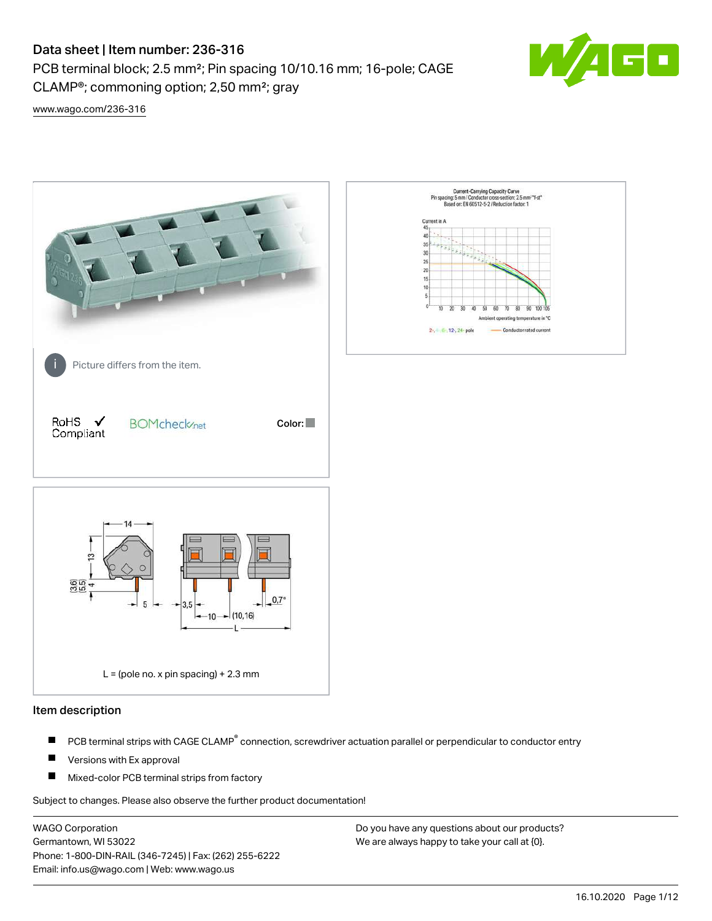# Data sheet | Item number: 236-316

PCB terminal block; 2.5 mm²; Pin spacing 10/10.16 mm; 16-pole; CAGE CLAMP®; commoning option; 2,50 mm²; gray



[www.wago.com/236-316](http://www.wago.com/236-316)



### Item description

- PCB terminal strips with CAGE CLAMP<sup>®</sup> connection, screwdriver actuation parallel or perpendicular to conductor entry П
- П Versions with Ex approval
- П Mixed-color PCB terminal strips from factory

Subject to changes. Please also observe the further product documentation!

WAGO Corporation Germantown, WI 53022 Phone: 1-800-DIN-RAIL (346-7245) | Fax: (262) 255-6222 Email: info.us@wago.com | Web: www.wago.us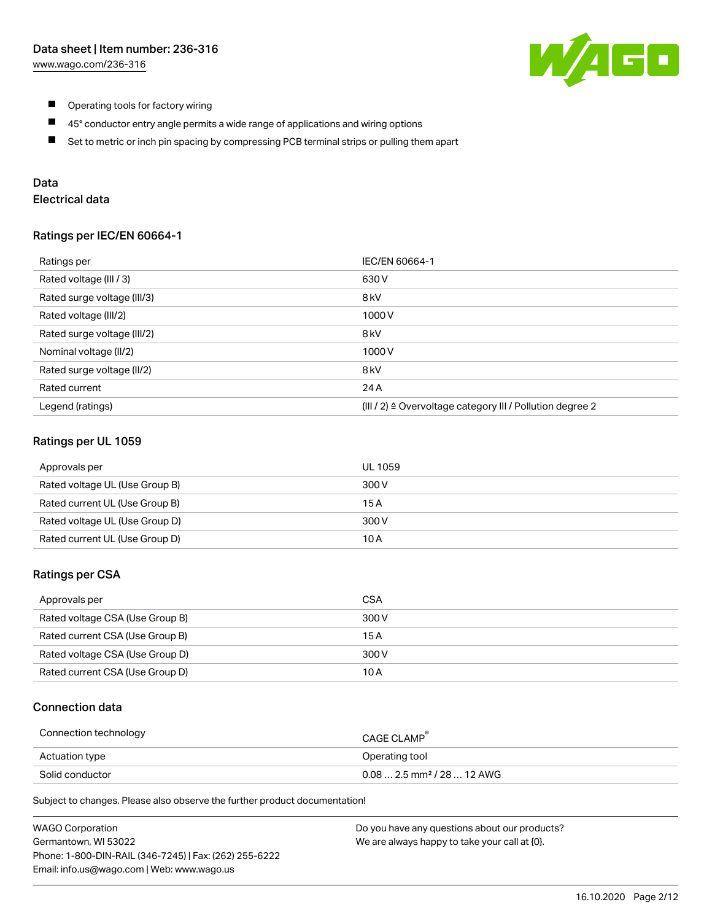

- $\blacksquare$ Operating tools for factory wiring
- $\blacksquare$ 45° conductor entry angle permits a wide range of applications and wiring options
- $\blacksquare$ Set to metric or inch pin spacing by compressing PCB terminal strips or pulling them apart

## Data

# Electrical data

### Ratings per IEC/EN 60664-1

| Ratings per                 | IEC/EN 60664-1                                                        |
|-----------------------------|-----------------------------------------------------------------------|
| Rated voltage (III / 3)     | 630 V                                                                 |
| Rated surge voltage (III/3) | 8 <sub>kV</sub>                                                       |
| Rated voltage (III/2)       | 1000V                                                                 |
| Rated surge voltage (III/2) | 8 <sub>kV</sub>                                                       |
| Nominal voltage (II/2)      | 1000V                                                                 |
| Rated surge voltage (II/2)  | 8 <sub>kV</sub>                                                       |
| Rated current               | 24 A                                                                  |
| Legend (ratings)            | $(III / 2)$ $\triangle$ Overvoltage category III / Pollution degree 2 |

## Ratings per UL 1059

| Approvals per                  | UL 1059 |
|--------------------------------|---------|
| Rated voltage UL (Use Group B) | 300 V   |
| Rated current UL (Use Group B) | 15 A    |
| Rated voltage UL (Use Group D) | 300 V   |
| Rated current UL (Use Group D) | 10 A    |

### Ratings per CSA

| Approvals per                   | CSA   |
|---------------------------------|-------|
| Rated voltage CSA (Use Group B) | 300 V |
| Rated current CSA (Use Group B) | 15 A  |
| Rated voltage CSA (Use Group D) | 300 V |
| Rated current CSA (Use Group D) | 10 A  |

## Connection data

| Connection technology | CAGE CLAMP                              |
|-----------------------|-----------------------------------------|
| Actuation type        | Operating tool                          |
| Solid conductor       | $0.08$ 2.5 mm <sup>2</sup> / 28  12 AWG |

Subject to changes. Please also observe the further product documentation!

| <b>WAGO Corporation</b>                                | Do you have any questions about our products? |
|--------------------------------------------------------|-----------------------------------------------|
| Germantown, WI 53022                                   | We are always happy to take your call at {0}. |
| Phone: 1-800-DIN-RAIL (346-7245)   Fax: (262) 255-6222 |                                               |
| Email: info.us@wago.com   Web: www.wago.us             |                                               |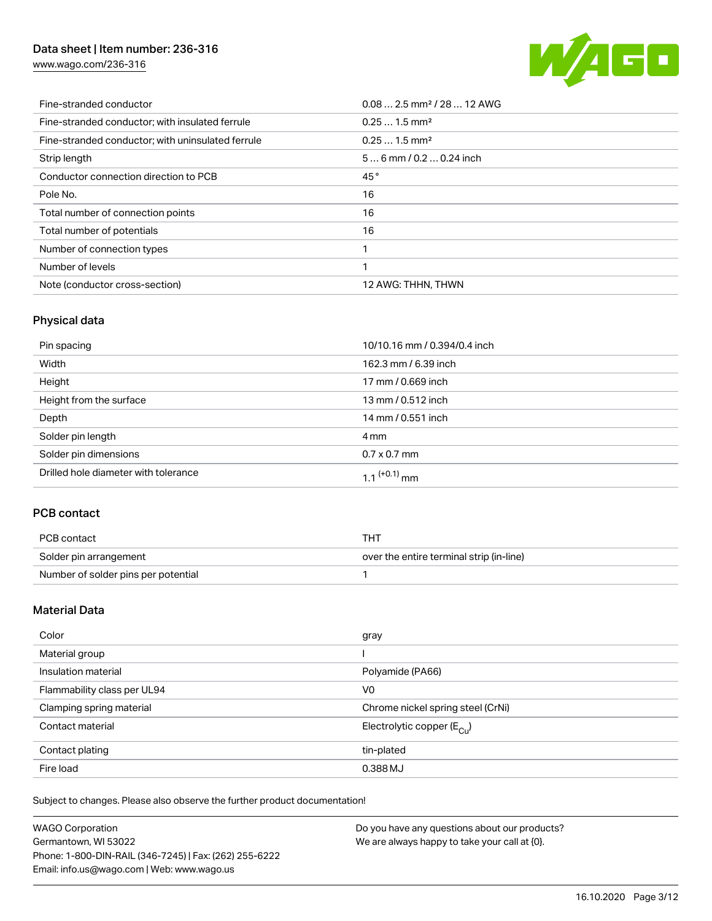# Data sheet | Item number: 236-316

[www.wago.com/236-316](http://www.wago.com/236-316)



| Fine-stranded conductor                           | $0.08$ 2.5 mm <sup>2</sup> / 28  12 AWG |
|---------------------------------------------------|-----------------------------------------|
| Fine-stranded conductor; with insulated ferrule   | $0.251.5$ mm <sup>2</sup>               |
| Fine-stranded conductor; with uninsulated ferrule | $0.251.5$ mm <sup>2</sup>               |
| Strip length                                      | $56$ mm / 0.2  0.24 inch                |
| Conductor connection direction to PCB             | 45°                                     |
| Pole No.                                          | 16                                      |
| Total number of connection points                 | 16                                      |
| Total number of potentials                        | 16                                      |
| Number of connection types                        |                                         |
| Number of levels                                  |                                         |
| Note (conductor cross-section)                    | 12 AWG: THHN, THWN                      |

# Physical data

| Pin spacing                          | 10/10.16 mm / 0.394/0.4 inch |
|--------------------------------------|------------------------------|
| Width                                | 162.3 mm / 6.39 inch         |
| Height                               | 17 mm / 0.669 inch           |
| Height from the surface              | 13 mm / 0.512 inch           |
| Depth                                | 14 mm / 0.551 inch           |
| Solder pin length                    | 4 mm                         |
| Solder pin dimensions                | $0.7 \times 0.7$ mm          |
| Drilled hole diameter with tolerance | 1.1 $(+0.1)$ mm              |

## PCB contact

| PCB contact                         | THT                                      |
|-------------------------------------|------------------------------------------|
| Solder pin arrangement              | over the entire terminal strip (in-line) |
| Number of solder pins per potential |                                          |

## Material Data

| Color                       | gray                                  |
|-----------------------------|---------------------------------------|
| Material group              |                                       |
| Insulation material         | Polyamide (PA66)                      |
| Flammability class per UL94 | V <sub>0</sub>                        |
| Clamping spring material    | Chrome nickel spring steel (CrNi)     |
| Contact material            | Electrolytic copper $(E_{\text{CL}})$ |
| Contact plating             | tin-plated                            |
| Fire load                   | 0.388 MJ                              |

Subject to changes. Please also observe the further product documentation!

| <b>WAGO Corporation</b>                                | Do you have any questions about our products? |
|--------------------------------------------------------|-----------------------------------------------|
| Germantown, WI 53022                                   | We are always happy to take your call at {0}. |
| Phone: 1-800-DIN-RAIL (346-7245)   Fax: (262) 255-6222 |                                               |
| Email: info.us@wago.com   Web: www.wago.us             |                                               |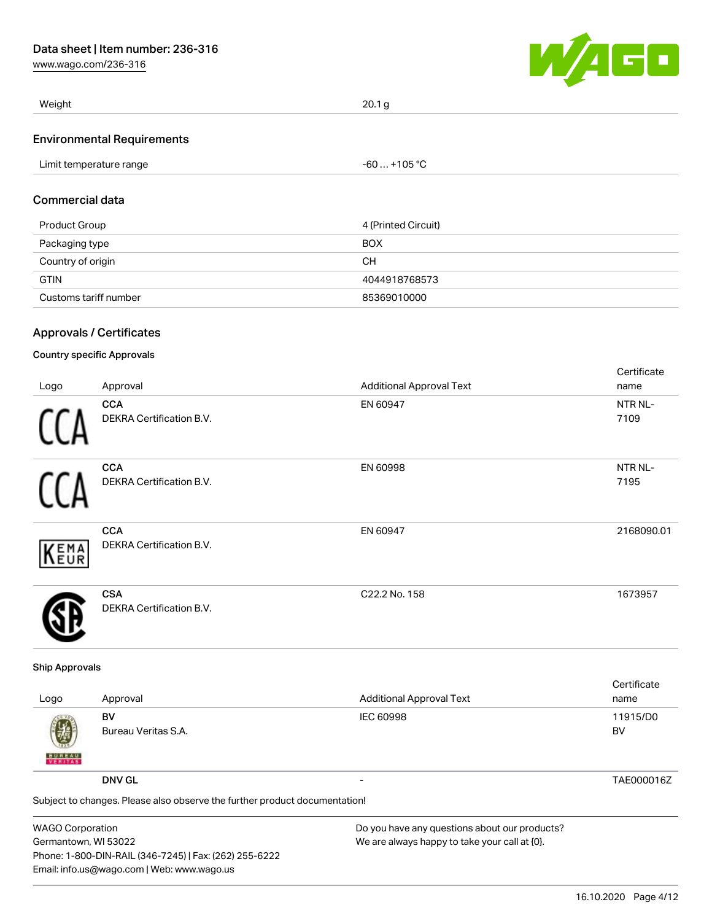[www.wago.com/236-316](http://www.wago.com/236-316)



| Weight                            | 20.1 <sub>q</sub> |  |
|-----------------------------------|-------------------|--|
| <b>Environmental Requirements</b> |                   |  |
| Limit temperature range           | -60  +105 °C      |  |

### Commercial data

| Product Group         | 4 (Printed Circuit) |
|-----------------------|---------------------|
| Packaging type        | <b>BOX</b>          |
| Country of origin     | CН                  |
| <b>GTIN</b>           | 4044918768573       |
| Customs tariff number | 85369010000         |

# Approvals / Certificates

## Country specific Approvals

|             |                                 |                                 | Certificate |
|-------------|---------------------------------|---------------------------------|-------------|
| Logo        | Approval                        | <b>Additional Approval Text</b> | name        |
|             | <b>CCA</b>                      | EN 60947                        | NTR NL-     |
|             | <b>DEKRA Certification B.V.</b> |                                 | 7109        |
|             | <b>CCA</b>                      | EN 60998                        | NTR NL-     |
|             | DEKRA Certification B.V.        |                                 | 7195        |
|             | <b>CCA</b>                      | EN 60947                        | 2168090.01  |
| <b>KEMA</b> | DEKRA Certification B.V.        |                                 |             |
|             | <b>CSA</b>                      | C22.2 No. 158                   | 1673957     |
|             | <b>DEKRA Certification B.V.</b> |                                 |             |

### Ship Approvals

| Logo               | Approval                                                                                    | <b>Additional Approval Text</b> | Certificate<br>name |
|--------------------|---------------------------------------------------------------------------------------------|---------------------------------|---------------------|
| 嚩<br><b>BUREAU</b> | BV<br>Bureau Veritas S.A.                                                                   | IEC 60998                       | 11915/D0<br>BV      |
|                    | <b>DNV GL</b><br>Subject to changes. Please also observe the further product documentation! | $\overline{\phantom{0}}$        | TAE000016Z          |
|                    |                                                                                             |                                 |                     |

| WAGO Corporation                                       | Do you have any questions about our products? |
|--------------------------------------------------------|-----------------------------------------------|
| Germantown. WI 53022                                   | We are always happy to take your call at {0}. |
| Phone: 1-800-DIN-RAIL (346-7245)   Fax: (262) 255-6222 |                                               |
| Email: info.us@wago.com   Web: www.wago.us             |                                               |
|                                                        |                                               |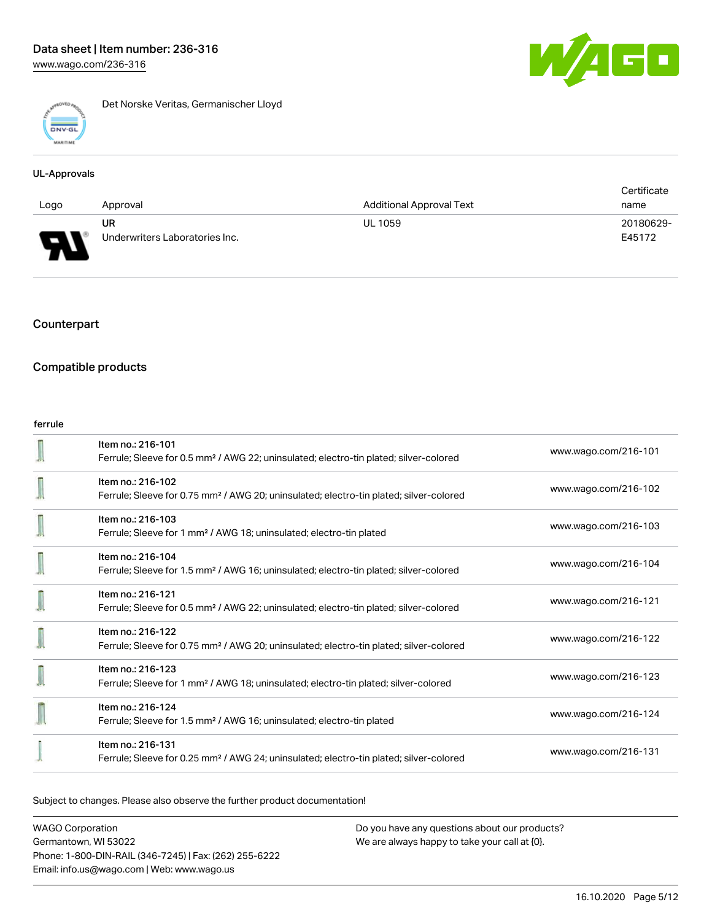

Det Norske Veritas, Germanischer Lloyd

### UL-Approvals

|      |                                |                                 | Certificate |
|------|--------------------------------|---------------------------------|-------------|
| Logo | Approval                       | <b>Additional Approval Text</b> | name        |
|      | UR                             | <b>UL 1059</b>                  | 20180629-   |
| L    | Underwriters Laboratories Inc. |                                 | E45172      |

## Counterpart

## Compatible products

#### ferrule

| Item no.: 216-101<br>Ferrule; Sleeve for 0.5 mm <sup>2</sup> / AWG 22; uninsulated; electro-tin plated; silver-colored  | www.wago.com/216-101 |
|-------------------------------------------------------------------------------------------------------------------------|----------------------|
| Item no.: 216-102<br>Ferrule; Sleeve for 0.75 mm <sup>2</sup> / AWG 20; uninsulated; electro-tin plated; silver-colored | www.wago.com/216-102 |
| Item no.: 216-103<br>Ferrule; Sleeve for 1 mm <sup>2</sup> / AWG 18; uninsulated; electro-tin plated                    | www.wago.com/216-103 |
| Item no.: 216-104<br>Ferrule; Sleeve for 1.5 mm <sup>2</sup> / AWG 16; uninsulated; electro-tin plated; silver-colored  | www.wago.com/216-104 |
| Item no.: 216-121<br>Ferrule; Sleeve for 0.5 mm <sup>2</sup> / AWG 22; uninsulated; electro-tin plated; silver-colored  | www.wago.com/216-121 |
| Item no.: 216-122<br>Ferrule; Sleeve for 0.75 mm <sup>2</sup> / AWG 20; uninsulated; electro-tin plated; silver-colored | www.wago.com/216-122 |
| Item no.: 216-123<br>Ferrule; Sleeve for 1 mm <sup>2</sup> / AWG 18; uninsulated; electro-tin plated; silver-colored    | www.wago.com/216-123 |
| Item no.: 216-124<br>Ferrule; Sleeve for 1.5 mm <sup>2</sup> / AWG 16; uninsulated; electro-tin plated                  | www.wago.com/216-124 |
| Item no.: 216-131<br>Ferrule; Sleeve for 0.25 mm <sup>2</sup> / AWG 24; uninsulated; electro-tin plated; silver-colored | www.wago.com/216-131 |

Subject to changes. Please also observe the further product documentation!

WAGO Corporation Germantown, WI 53022 Phone: 1-800-DIN-RAIL (346-7245) | Fax: (262) 255-6222 Email: info.us@wago.com | Web: www.wago.us

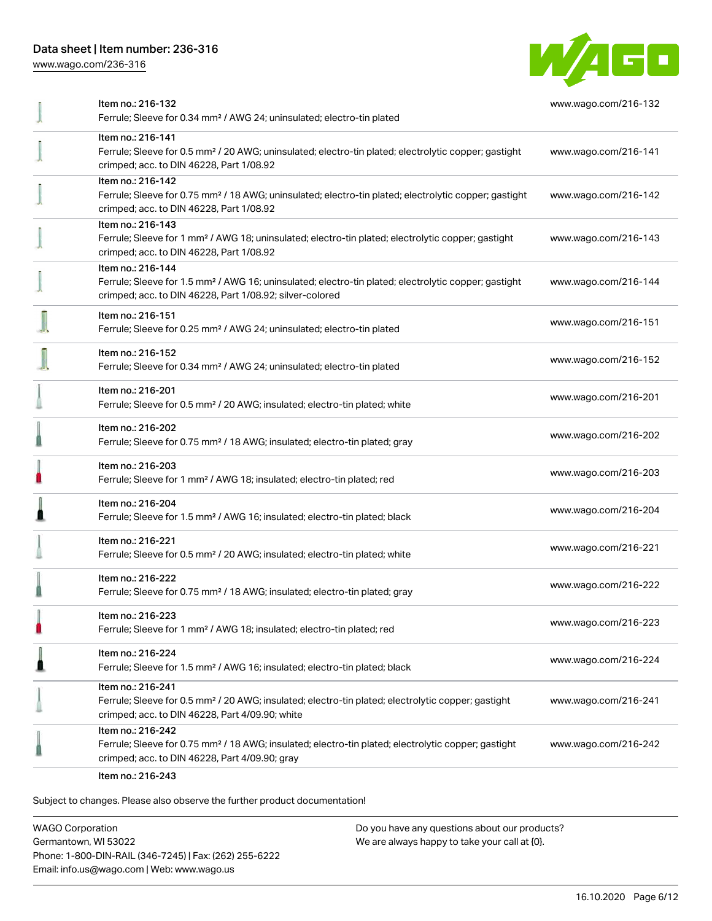# Data sheet | Item number: 236-316

[www.wago.com/236-316](http://www.wago.com/236-316)



| Item no.: 216-132<br>Ferrule; Sleeve for 0.34 mm <sup>2</sup> / AWG 24; uninsulated; electro-tin plated                                                                                           | www.wago.com/216-132 |
|---------------------------------------------------------------------------------------------------------------------------------------------------------------------------------------------------|----------------------|
| Item no.: 216-141<br>Ferrule; Sleeve for 0.5 mm <sup>2</sup> / 20 AWG; uninsulated; electro-tin plated; electrolytic copper; gastight<br>crimped; acc. to DIN 46228, Part 1/08.92                 | www.wago.com/216-141 |
| Item no.: 216-142<br>Ferrule; Sleeve for 0.75 mm <sup>2</sup> / 18 AWG; uninsulated; electro-tin plated; electrolytic copper; gastight<br>crimped; acc. to DIN 46228, Part 1/08.92                | www.wago.com/216-142 |
| Item no.: 216-143<br>Ferrule; Sleeve for 1 mm <sup>2</sup> / AWG 18; uninsulated; electro-tin plated; electrolytic copper; gastight<br>crimped; acc. to DIN 46228, Part 1/08.92                   | www.wago.com/216-143 |
| Item no.: 216-144<br>Ferrule; Sleeve for 1.5 mm <sup>2</sup> / AWG 16; uninsulated; electro-tin plated; electrolytic copper; gastight<br>crimped; acc. to DIN 46228, Part 1/08.92; silver-colored | www.wago.com/216-144 |
| Item no.: 216-151<br>Ferrule; Sleeve for 0.25 mm <sup>2</sup> / AWG 24; uninsulated; electro-tin plated                                                                                           | www.wago.com/216-151 |
| Item no.: 216-152<br>Ferrule; Sleeve for 0.34 mm <sup>2</sup> / AWG 24; uninsulated; electro-tin plated                                                                                           | www.wago.com/216-152 |
| Item no.: 216-201<br>Ferrule; Sleeve for 0.5 mm <sup>2</sup> / 20 AWG; insulated; electro-tin plated; white                                                                                       | www.wago.com/216-201 |
| Item no.: 216-202<br>Ferrule; Sleeve for 0.75 mm <sup>2</sup> / 18 AWG; insulated; electro-tin plated; gray                                                                                       | www.wago.com/216-202 |
| Item no.: 216-203<br>Ferrule; Sleeve for 1 mm <sup>2</sup> / AWG 18; insulated; electro-tin plated; red                                                                                           | www.wago.com/216-203 |
| Item no.: 216-204<br>Ferrule; Sleeve for 1.5 mm <sup>2</sup> / AWG 16; insulated; electro-tin plated; black                                                                                       | www.wago.com/216-204 |
| Item no.: 216-221<br>Ferrule; Sleeve for 0.5 mm <sup>2</sup> / 20 AWG; insulated; electro-tin plated; white                                                                                       | www.wago.com/216-221 |
| Item no.: 216-222<br>Ferrule; Sleeve for 0.75 mm <sup>2</sup> / 18 AWG; insulated; electro-tin plated; gray                                                                                       | www.wago.com/216-222 |
| Item no.: 216-223<br>Ferrule; Sleeve for 1 mm <sup>2</sup> / AWG 18; insulated; electro-tin plated; red                                                                                           | www.wago.com/216-223 |
| Item no.: 216-224<br>Ferrule; Sleeve for 1.5 mm <sup>2</sup> / AWG 16; insulated; electro-tin plated; black                                                                                       | www.wago.com/216-224 |
| Item no.: 216-241<br>Ferrule; Sleeve for 0.5 mm <sup>2</sup> / 20 AWG; insulated; electro-tin plated; electrolytic copper; gastight<br>crimped; acc. to DIN 46228, Part 4/09.90; white            | www.wago.com/216-241 |
| Item no.: 216-242<br>Ferrule; Sleeve for 0.75 mm <sup>2</sup> / 18 AWG; insulated; electro-tin plated; electrolytic copper; gastight<br>crimped; acc. to DIN 46228, Part 4/09.90; gray            | www.wago.com/216-242 |
| 0.01000                                                                                                                                                                                           |                      |

Item no.: 216-243

Subject to changes. Please also observe the further product documentation!

WAGO Corporation Germantown, WI 53022 Phone: 1-800-DIN-RAIL (346-7245) | Fax: (262) 255-6222 Email: info.us@wago.com | Web: www.wago.us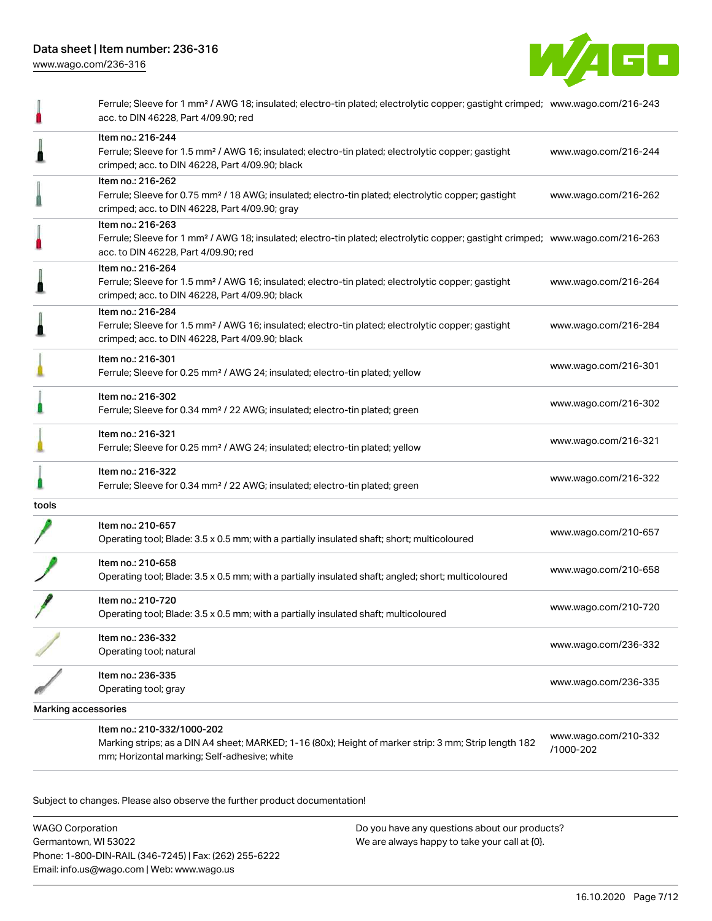

|                            | Ferrule; Sleeve for 1 mm <sup>2</sup> / AWG 18; insulated; electro-tin plated; electrolytic copper; gastight crimped; www.wago.com/216-243<br>acc. to DIN 46228, Part 4/09.90; red                      |                                   |
|----------------------------|---------------------------------------------------------------------------------------------------------------------------------------------------------------------------------------------------------|-----------------------------------|
|                            | Item no.: 216-244<br>Ferrule; Sleeve for 1.5 mm <sup>2</sup> / AWG 16; insulated; electro-tin plated; electrolytic copper; gastight<br>crimped; acc. to DIN 46228, Part 4/09.90; black                  | www.wago.com/216-244              |
|                            | Item no.: 216-262<br>Ferrule; Sleeve for 0.75 mm <sup>2</sup> / 18 AWG; insulated; electro-tin plated; electrolytic copper; gastight<br>crimped; acc. to DIN 46228, Part 4/09.90; gray                  | www.wago.com/216-262              |
|                            | Item no.: 216-263<br>Ferrule; Sleeve for 1 mm <sup>2</sup> / AWG 18; insulated; electro-tin plated; electrolytic copper; gastight crimped; www.wago.com/216-263<br>acc. to DIN 46228, Part 4/09.90; red |                                   |
|                            | Item no.: 216-264<br>Ferrule; Sleeve for 1.5 mm <sup>2</sup> / AWG 16; insulated; electro-tin plated; electrolytic copper; gastight<br>crimped; acc. to DIN 46228, Part 4/09.90; black                  | www.wago.com/216-264              |
|                            | Item no.: 216-284<br>Ferrule; Sleeve for 1.5 mm <sup>2</sup> / AWG 16; insulated; electro-tin plated; electrolytic copper; gastight<br>crimped; acc. to DIN 46228, Part 4/09.90; black                  | www.wago.com/216-284              |
|                            | Item no.: 216-301<br>Ferrule; Sleeve for 0.25 mm <sup>2</sup> / AWG 24; insulated; electro-tin plated; yellow                                                                                           | www.wago.com/216-301              |
|                            | Item no.: 216-302<br>Ferrule; Sleeve for 0.34 mm <sup>2</sup> / 22 AWG; insulated; electro-tin plated; green                                                                                            | www.wago.com/216-302              |
|                            | Item no.: 216-321<br>Ferrule; Sleeve for 0.25 mm <sup>2</sup> / AWG 24; insulated; electro-tin plated; yellow                                                                                           | www.wago.com/216-321              |
|                            | Item no.: 216-322<br>Ferrule; Sleeve for 0.34 mm <sup>2</sup> / 22 AWG; insulated; electro-tin plated; green                                                                                            | www.wago.com/216-322              |
| tools                      |                                                                                                                                                                                                         |                                   |
|                            | Item no.: 210-657<br>Operating tool; Blade: 3.5 x 0.5 mm; with a partially insulated shaft; short; multicoloured                                                                                        | www.wago.com/210-657              |
|                            | Item no.: 210-658<br>Operating tool; Blade: 3.5 x 0.5 mm; with a partially insulated shaft; angled; short; multicoloured                                                                                | www.wago.com/210-658              |
|                            | Item no.: 210-720<br>Operating tool; Blade: 3.5 x 0.5 mm; with a partially insulated shaft; multicoloured                                                                                               | www.wago.com/210-720              |
|                            | Item no.: 236-332<br>Operating tool; natural                                                                                                                                                            | www.wago.com/236-332              |
|                            | Item no.: 236-335<br>Operating tool; gray                                                                                                                                                               | www.wago.com/236-335              |
| <b>Marking accessories</b> |                                                                                                                                                                                                         |                                   |
|                            | Item no.: 210-332/1000-202<br>Marking strips; as a DIN A4 sheet; MARKED; 1-16 (80x); Height of marker strip: 3 mm; Strip length 182<br>mm; Horizontal marking; Self-adhesive; white                     | www.wago.com/210-332<br>/1000-202 |

Subject to changes. Please also observe the further product documentation!

WAGO Corporation Germantown, WI 53022 Phone: 1-800-DIN-RAIL (346-7245) | Fax: (262) 255-6222 Email: info.us@wago.com | Web: www.wago.us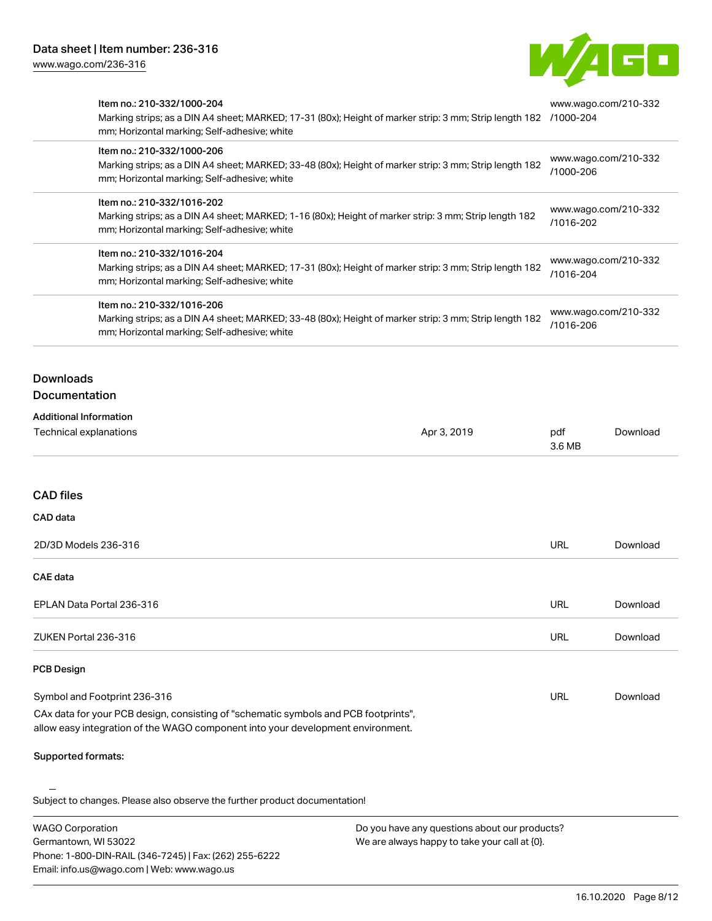Email: info.us@wago.com | Web: www.wago.us



| Item no.: 210-332/1000-204<br>Marking strips; as a DIN A4 sheet; MARKED; 17-31 (80x); Height of marker strip: 3 mm; Strip length 182 /1000-204<br>mm; Horizontal marking; Self-adhesive; white |                                                                                                        | www.wago.com/210-332 |                      |
|------------------------------------------------------------------------------------------------------------------------------------------------------------------------------------------------|--------------------------------------------------------------------------------------------------------|----------------------|----------------------|
| Item no.: 210-332/1000-206<br>mm; Horizontal marking; Self-adhesive; white                                                                                                                     | Marking strips; as a DIN A4 sheet; MARKED; 33-48 (80x); Height of marker strip: 3 mm; Strip length 182 | /1000-206            | www.wago.com/210-332 |
| Item no.: 210-332/1016-202<br>mm; Horizontal marking; Self-adhesive; white                                                                                                                     | Marking strips; as a DIN A4 sheet; MARKED; 1-16 (80x); Height of marker strip: 3 mm; Strip length 182  | /1016-202            | www.wago.com/210-332 |
| Item no.: 210-332/1016-204<br>mm; Horizontal marking; Self-adhesive; white                                                                                                                     | Marking strips; as a DIN A4 sheet; MARKED; 17-31 (80x); Height of marker strip: 3 mm; Strip length 182 | /1016-204            | www.wago.com/210-332 |
| Item no.: 210-332/1016-206<br>mm; Horizontal marking; Self-adhesive; white                                                                                                                     | Marking strips; as a DIN A4 sheet; MARKED; 33-48 (80x); Height of marker strip: 3 mm; Strip length 182 | /1016-206            | www.wago.com/210-332 |
| <b>Downloads</b><br>Documentation                                                                                                                                                              |                                                                                                        |                      |                      |
| <b>Additional Information</b><br>Technical explanations                                                                                                                                        | Apr 3, 2019                                                                                            | pdf<br>3.6 MB        | Download             |
| <b>CAD files</b><br>CAD data                                                                                                                                                                   |                                                                                                        |                      |                      |
| 2D/3D Models 236-316                                                                                                                                                                           |                                                                                                        | <b>URL</b>           | Download             |
| <b>CAE</b> data                                                                                                                                                                                |                                                                                                        |                      |                      |
| EPLAN Data Portal 236-316                                                                                                                                                                      |                                                                                                        | <b>URL</b>           | Download             |
| ZUKEN Portal 236-316                                                                                                                                                                           |                                                                                                        | <b>URL</b>           | Download             |
| <b>PCB Design</b>                                                                                                                                                                              |                                                                                                        |                      |                      |
| Symbol and Footprint 236-316                                                                                                                                                                   |                                                                                                        | <b>URL</b>           | Download             |
| CAx data for your PCB design, consisting of "schematic symbols and PCB footprints",<br>allow easy integration of the WAGO component into your development environment.                         |                                                                                                        |                      |                      |
| Supported formats:                                                                                                                                                                             |                                                                                                        |                      |                      |
| Subject to changes. Please also observe the further product documentation!                                                                                                                     |                                                                                                        |                      |                      |
| <b>WAGO Corporation</b><br>Germantown, WI 53022<br>Phone: 1-800-DIN-RAIL (346-7245)   Fax: (262) 255-6222                                                                                      | Do you have any questions about our products?<br>We are always happy to take your call at {0}.         |                      |                      |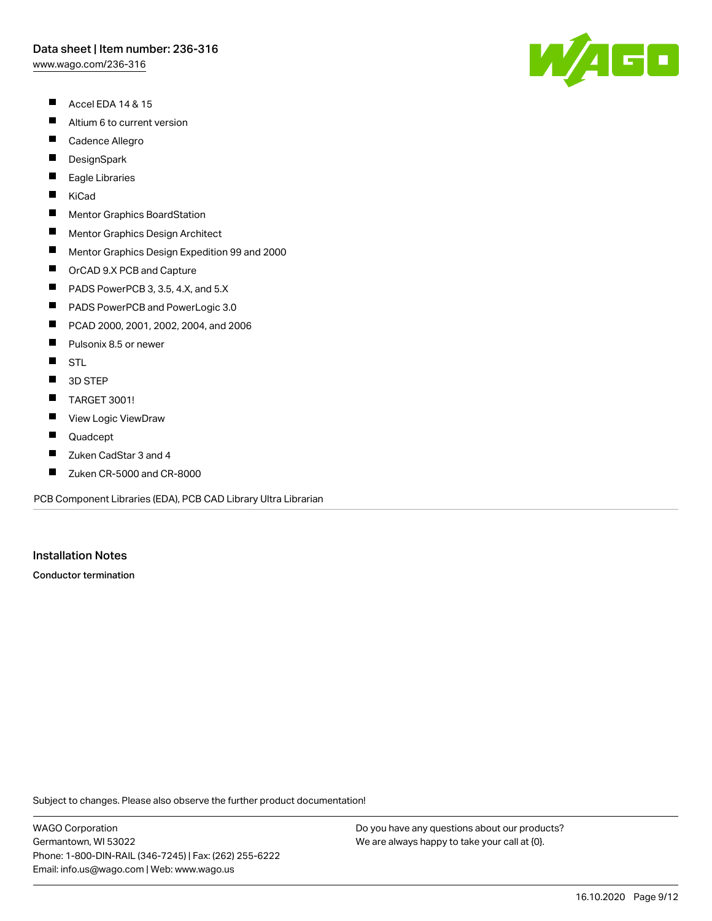[www.wago.com/236-316](http://www.wago.com/236-316)

- $\blacksquare$ Accel EDA 14 & 15
- $\blacksquare$ Altium 6 to current version
- $\blacksquare$ Cadence Allegro
- $\blacksquare$ **DesignSpark**
- П Eagle Libraries
- $\blacksquare$ KiCad
- $\blacksquare$ Mentor Graphics BoardStation
- $\blacksquare$ Mentor Graphics Design Architect
- $\blacksquare$ Mentor Graphics Design Expedition 99 and 2000
- $\blacksquare$ OrCAD 9.X PCB and Capture
- $\blacksquare$ PADS PowerPCB 3, 3.5, 4.X, and 5.X
- $\blacksquare$ PADS PowerPCB and PowerLogic 3.0
- $\blacksquare$ PCAD 2000, 2001, 2002, 2004, and 2006
- $\blacksquare$ Pulsonix 8.5 or newer
- $\blacksquare$ **STL**
- $\blacksquare$ 3D STEP
- $\blacksquare$ TARGET 3001!
- $\blacksquare$ View Logic ViewDraw
- $\blacksquare$ Quadcept
- П Zuken CadStar 3 and 4
- $\blacksquare$ Zuken CR-5000 and CR-8000

PCB Component Libraries (EDA), PCB CAD Library Ultra Librarian

# Installation Notes

Conductor termination

Subject to changes. Please also observe the further product documentation!

WAGO Corporation Germantown, WI 53022 Phone: 1-800-DIN-RAIL (346-7245) | Fax: (262) 255-6222 Email: info.us@wago.com | Web: www.wago.us

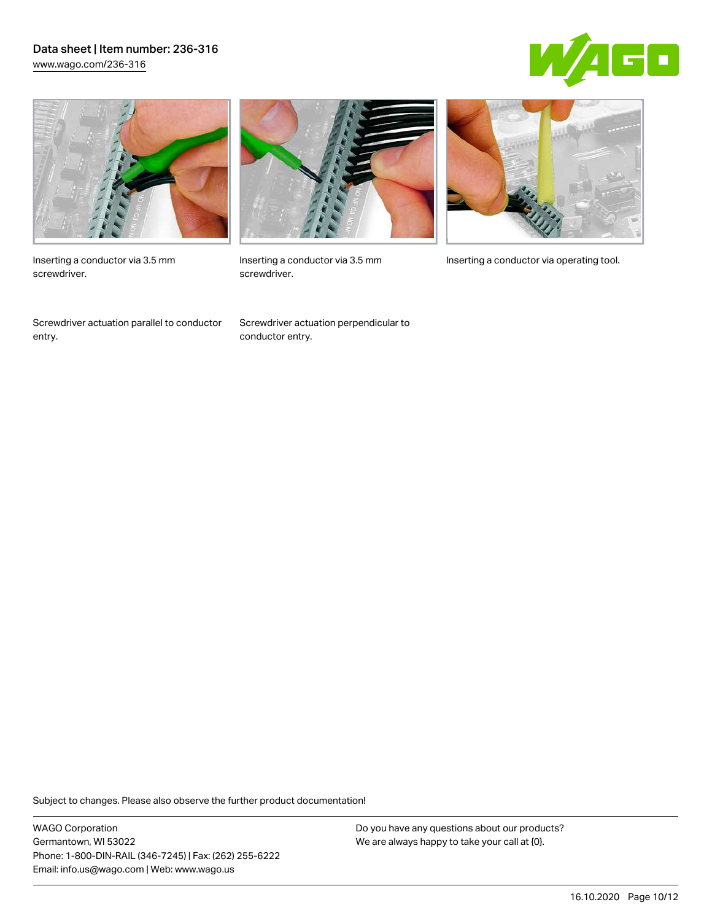## Data sheet | Item number: 236-316 [www.wago.com/236-316](http://www.wago.com/236-316)





Inserting a conductor via 3.5 mm screwdriver.

Screwdriver actuation parallel to conductor entry.



screwdriver.

Screwdriver actuation perpendicular to conductor entry.



Inserting a conductor via 3.5 mm Inserting a conductor via operating tool.

Subject to changes. Please also observe the further product documentation!

WAGO Corporation Germantown, WI 53022 Phone: 1-800-DIN-RAIL (346-7245) | Fax: (262) 255-6222 Email: info.us@wago.com | Web: www.wago.us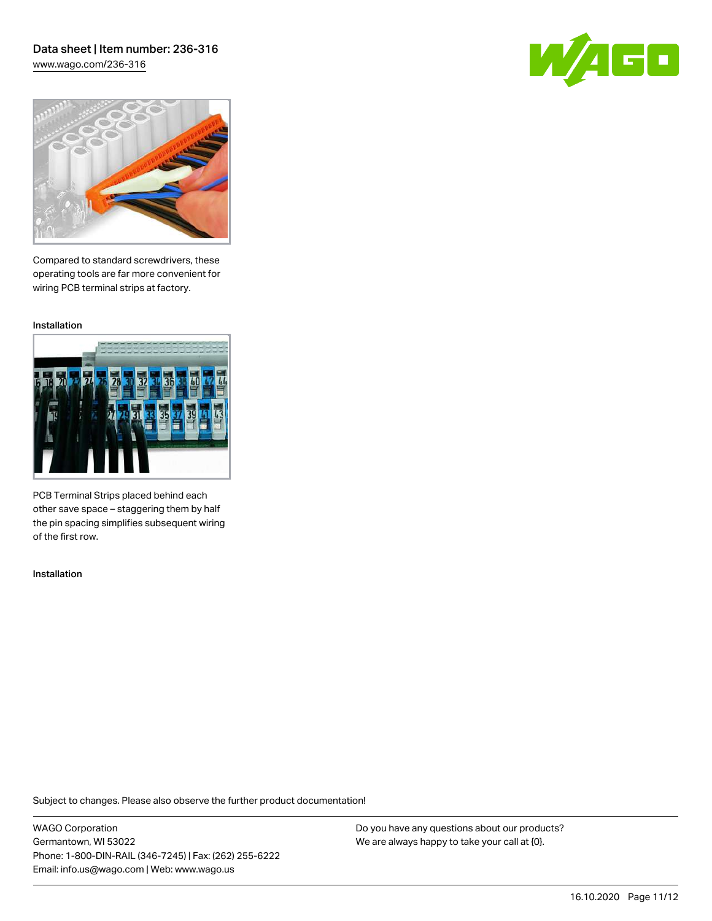## Data sheet | Item number: 236-316 [www.wago.com/236-316](http://www.wago.com/236-316)





Compared to standard screwdrivers, these operating tools are far more convenient for wiring PCB terminal strips at factory.

Installation



PCB Terminal Strips placed behind each other save space – staggering them by half the pin spacing simplifies subsequent wiring of the first row.

Installation

Subject to changes. Please also observe the further product documentation!

WAGO Corporation Germantown, WI 53022 Phone: 1-800-DIN-RAIL (346-7245) | Fax: (262) 255-6222 Email: info.us@wago.com | Web: www.wago.us